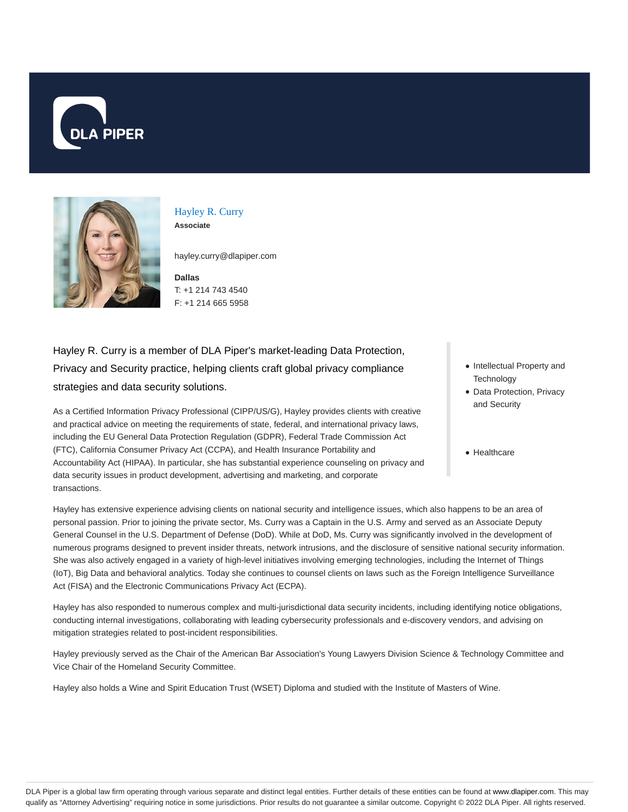



### Hayley R. Curry **Associate**

hayley.curry@dlapiper.com

**Dallas** T: +1 214 743 4540 F: +1 214 665 5958

Hayley R. Curry is a member of DLA Piper's market-leading Data Protection, Privacy and Security practice, helping clients craft global privacy compliance strategies and data security solutions.

As a Certified Information Privacy Professional (CIPP/US/G), Hayley provides clients with creative and practical advice on meeting the requirements of state, federal, and international privacy laws, including the EU General Data Protection Regulation (GDPR), Federal Trade Commission Act (FTC), California Consumer Privacy Act (CCPA), and Health Insurance Portability and Accountability Act (HIPAA). In particular, she has substantial experience counseling on privacy and data security issues in product development, advertising and marketing, and corporate transactions.

- Intellectual Property and **Technology**
- Data Protection, Privacy and Security
- Healthcare

Hayley has extensive experience advising clients on national security and intelligence issues, which also happens to be an area of personal passion. Prior to joining the private sector, Ms. Curry was a Captain in the U.S. Army and served as an Associate Deputy General Counsel in the U.S. Department of Defense (DoD). While at DoD, Ms. Curry was significantly involved in the development of numerous programs designed to prevent insider threats, network intrusions, and the disclosure of sensitive national security information. She was also actively engaged in a variety of high-level initiatives involving emerging technologies, including the Internet of Things (IoT), Big Data and behavioral analytics. Today she continues to counsel clients on laws such as the Foreign Intelligence Surveillance Act (FISA) and the Electronic Communications Privacy Act (ECPA).

Hayley has also responded to numerous complex and multi-jurisdictional data security incidents, including identifying notice obligations, conducting internal investigations, collaborating with leading cybersecurity professionals and e-discovery vendors, and advising on mitigation strategies related to post-incident responsibilities.

Hayley previously served as the Chair of the American Bar Association's Young Lawyers Division Science & Technology Committee and Vice Chair of the Homeland Security Committee.

Hayley also holds a Wine and Spirit Education Trust (WSET) Diploma and studied with the Institute of Masters of Wine.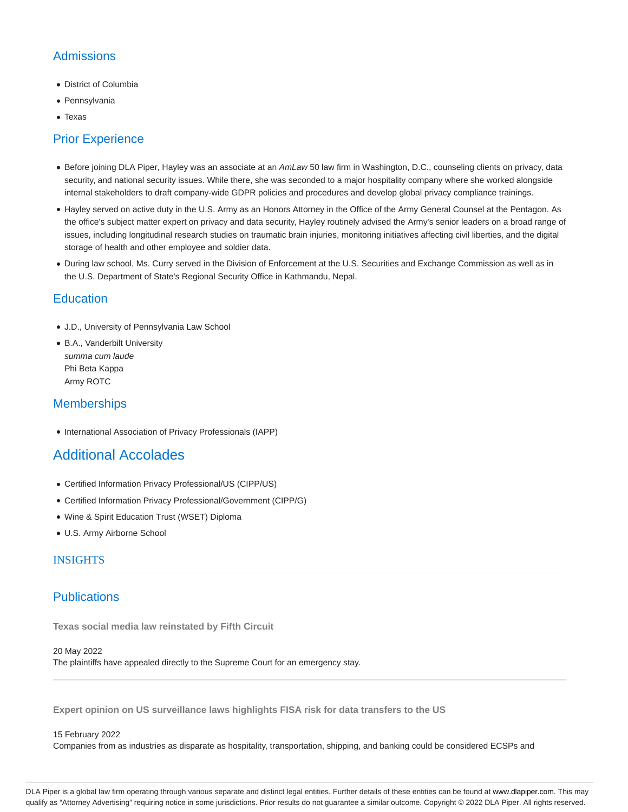# Admissions

- District of Columbia
- Pennsylvania
- Texas

# Prior Experience

- Before joining DLA Piper, Hayley was an associate at an AmLaw 50 law firm in Washington, D.C., counseling clients on privacy, data security, and national security issues. While there, she was seconded to a major hospitality company where she worked alongside internal stakeholders to draft company-wide GDPR policies and procedures and develop global privacy compliance trainings.
- Hayley served on active duty in the U.S. Army as an Honors Attorney in the Office of the Army General Counsel at the Pentagon. As the office's subject matter expert on privacy and data security, Hayley routinely advised the Army's senior leaders on a broad range of issues, including longitudinal research studies on traumatic brain injuries, monitoring initiatives affecting civil liberties, and the digital storage of health and other employee and soldier data.
- During law school, Ms. Curry served in the Division of Enforcement at the U.S. Securities and Exchange Commission as well as in the U.S. Department of State's Regional Security Office in Kathmandu, Nepal.

# **Education**

- J.D., University of Pennsylvania Law School
- B.A., Vanderbilt University summa cum laude Phi Beta Kappa Army ROTC

# **Memberships**

• International Association of Privacy Professionals (IAPP)

# Additional Accolades

- Certified Information Privacy Professional/US (CIPP/US)
- Certified Information Privacy Professional/Government (CIPP/G)
- Wine & Spirit Education Trust (WSET) Diploma
- U.S. Army Airborne School

## INSIGHTS

## **Publications**

**Texas social media law reinstated by Fifth Circuit**

20 May 2022 The plaintiffs have appealed directly to the Supreme Court for an emergency stay.

**Expert opinion on US surveillance laws highlights FISA risk for data transfers to the US**

#### 15 February 2022

Companies from as industries as disparate as hospitality, transportation, shipping, and banking could be considered ECSPs and

DLA Piper is a global law firm operating through various separate and distinct legal entities. Further details of these entities can be found at www.dlapiper.com. This may qualify as "Attorney Advertising" requiring notice in some jurisdictions. Prior results do not guarantee a similar outcome. Copyright © 2022 DLA Piper. All rights reserved.